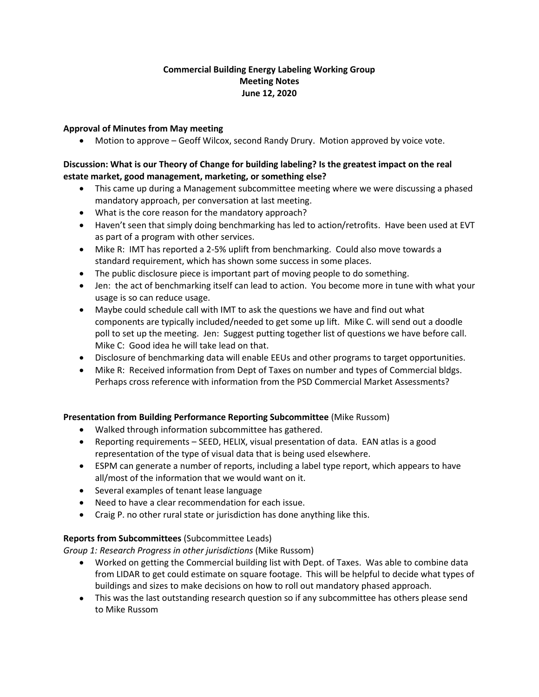# **Commercial Building Energy Labeling Working Group Meeting Notes June 12, 2020**

# **Approval of Minutes from May meeting**

• Motion to approve – Geoff Wilcox, second Randy Drury. Motion approved by voice vote.

# **Discussion: What is our Theory of Change for building labeling? Is the greatest impact on the real estate market, good management, marketing, or something else?**

- This came up during a Management subcommittee meeting where we were discussing a phased mandatory approach, per conversation at last meeting.
- What is the core reason for the mandatory approach?
- Haven't seen that simply doing benchmarking has led to action/retrofits. Have been used at EVT as part of a program with other services.
- Mike R: IMT has reported a 2-5% uplift from benchmarking. Could also move towards a standard requirement, which has shown some success in some places.
- The public disclosure piece is important part of moving people to do something.
- Jen: the act of benchmarking itself can lead to action. You become more in tune with what your usage is so can reduce usage.
- Maybe could schedule call with IMT to ask the questions we have and find out what components are typically included/needed to get some up lift. Mike C. will send out a doodle poll to set up the meeting. Jen: Suggest putting together list of questions we have before call. Mike C: Good idea he will take lead on that.
- Disclosure of benchmarking data will enable EEUs and other programs to target opportunities.
- Mike R: Received information from Dept of Taxes on number and types of Commercial bldgs. Perhaps cross reference with information from the PSD Commercial Market Assessments?

# **Presentation from Building Performance Reporting Subcommittee** (Mike Russom)

- Walked through information subcommittee has gathered.
- Reporting requirements SEED, HELIX, visual presentation of data. EAN atlas is a good representation of the type of visual data that is being used elsewhere.
- ESPM can generate a number of reports, including a label type report, which appears to have all/most of the information that we would want on it.
- Several examples of tenant lease language
- Need to have a clear recommendation for each issue.
- Craig P. no other rural state or jurisdiction has done anything like this.

# **Reports from Subcommittees** (Subcommittee Leads)

*Group 1: Research Progress in other jurisdictions* (Mike Russom)

- Worked on getting the Commercial building list with Dept. of Taxes. Was able to combine data from LIDAR to get could estimate on square footage. This will be helpful to decide what types of buildings and sizes to make decisions on how to roll out mandatory phased approach.
- This was the last outstanding research question so if any subcommittee has others please send to Mike Russom